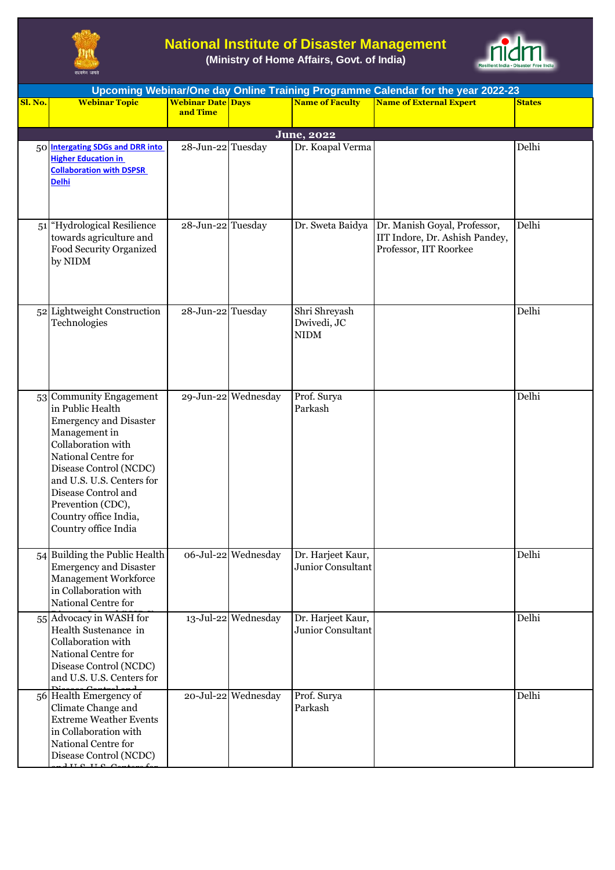

## **National Institute of Disaster Management**

**(Ministry of Home Affairs, Govt. of India)**



| Upcoming Webinar/One day Online Training Programme Calendar for the year 2022-23 |                                                                                                                                                                                                                                                                                                    |                                      |                     |                                             |                                                                                          |               |  |  |  |
|----------------------------------------------------------------------------------|----------------------------------------------------------------------------------------------------------------------------------------------------------------------------------------------------------------------------------------------------------------------------------------------------|--------------------------------------|---------------------|---------------------------------------------|------------------------------------------------------------------------------------------|---------------|--|--|--|
| Sl. No.                                                                          | <b>Webinar Topic</b>                                                                                                                                                                                                                                                                               | <b>Webinar Date Days</b><br>and Time |                     | <b>Name of Faculty</b>                      | <b>Name of External Expert</b>                                                           | <b>States</b> |  |  |  |
|                                                                                  |                                                                                                                                                                                                                                                                                                    |                                      |                     |                                             |                                                                                          |               |  |  |  |
|                                                                                  |                                                                                                                                                                                                                                                                                                    |                                      |                     | June, 2022                                  |                                                                                          |               |  |  |  |
|                                                                                  | 50 Intergating SDGs and DRR into<br><b>Higher Education in</b><br><b>Collaboration with DSPSR</b><br><b>Delhi</b>                                                                                                                                                                                  | 28-Jun-22 Tuesday                    |                     | Dr. Koapal Verma                            |                                                                                          | Delhi         |  |  |  |
|                                                                                  | 51 Hydrological Resilience<br>towards agriculture and<br>Food Security Organized<br>by NIDM                                                                                                                                                                                                        | 28-Jun-22 Tuesday                    |                     | Dr. Sweta Baidya                            | Dr. Manish Goyal, Professor,<br>IIT Indore, Dr. Ashish Pandey,<br>Professor, IIT Roorkee | Delhi         |  |  |  |
|                                                                                  | 52 Lightweight Construction<br>Technologies                                                                                                                                                                                                                                                        | 28-Jun-22 Tuesday                    |                     | Shri Shreyash<br>Dwivedi, JC<br><b>NIDM</b> |                                                                                          | Delhi         |  |  |  |
| 53                                                                               | <b>Community Engagement</b><br>in Public Health<br><b>Emergency and Disaster</b><br>Management in<br>Collaboration with<br>National Centre for<br>Disease Control (NCDC)<br>and U.S. U.S. Centers for<br>Disease Control and<br>Prevention (CDC),<br>Country office India,<br>Country office India |                                      | 29-Jun-22 Wednesday | Prof. Surya<br>Parkash                      |                                                                                          | Delhi         |  |  |  |
|                                                                                  | 54 Building the Public Health<br><b>Emergency and Disaster</b><br>Management Workforce<br>in Collaboration with<br>National Centre for                                                                                                                                                             |                                      | 06-Jul-22 Wednesday | Dr. Harjeet Kaur,<br>Junior Consultant      |                                                                                          | Delhi         |  |  |  |
|                                                                                  | 55 Advocacy in WASH for<br>Health Sustenance in<br>Collaboration with<br>National Centre for<br>Disease Control (NCDC)<br>and U.S. U.S. Centers for                                                                                                                                                |                                      | 13-Jul-22 Wednesday | Dr. Harjeet Kaur,<br>Junior Consultant      |                                                                                          | Delhi         |  |  |  |
|                                                                                  | 56 Health Emergency of<br>Climate Change and<br><b>Extreme Weather Events</b><br>in Collaboration with<br>National Centre for<br>Disease Control (NCDC)<br>$1 \text{ if } \alpha \text{ if } \alpha \alpha$                                                                                        |                                      | 20-Jul-22 Wednesday | Prof. Surya<br>Parkash                      |                                                                                          | Delhi         |  |  |  |